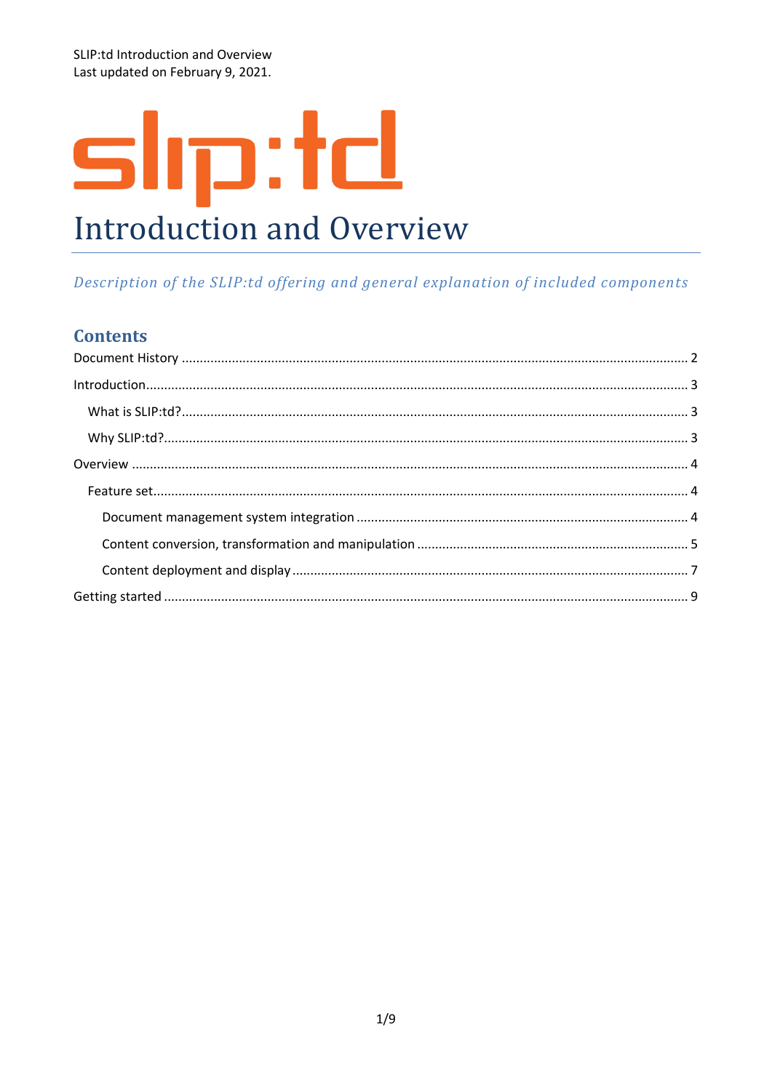SLIP:td Introduction and Overview Last updated on February 9, 2021.

# slip:td **Introduction and Overview**

# Description of the SLIP:td offering and general explanation of included components

# **Contents**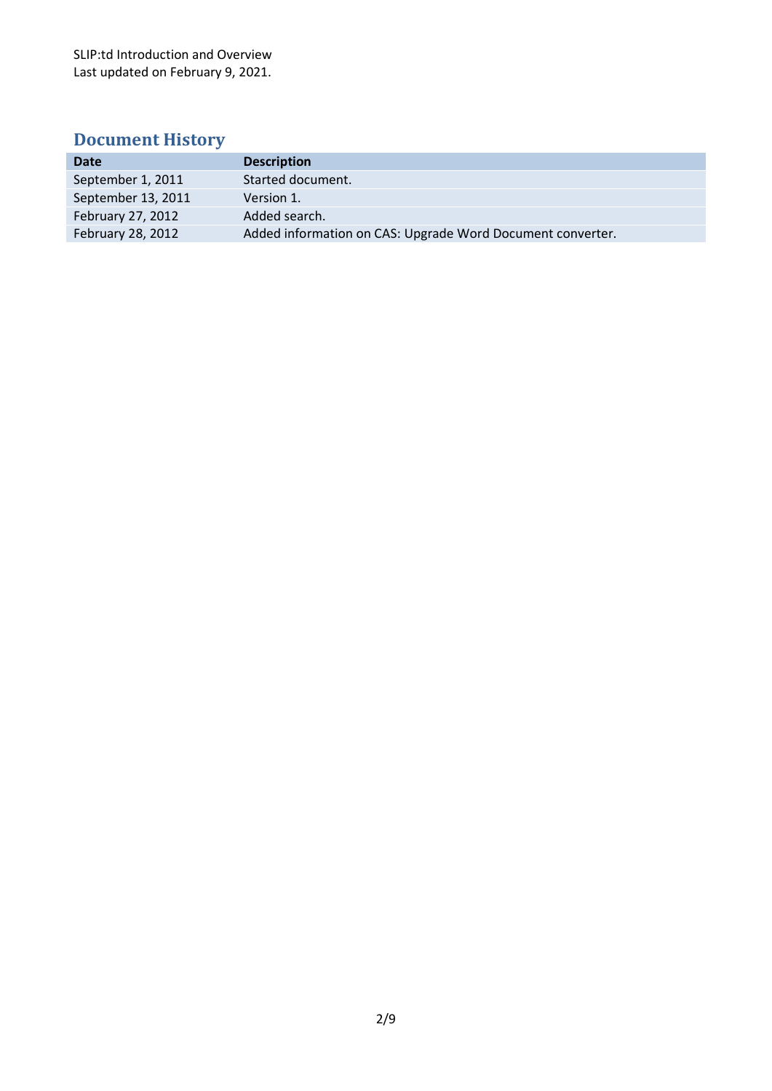SLIP:td Introduction and Overview Last updated on February 9, 2021.

# <span id="page-1-0"></span>**Document History**

| <b>Date</b>        | <b>Description</b>                                         |
|--------------------|------------------------------------------------------------|
| September 1, 2011  | Started document.                                          |
| September 13, 2011 | Version 1.                                                 |
| February 27, 2012  | Added search.                                              |
| February 28, 2012  | Added information on CAS: Upgrade Word Document converter. |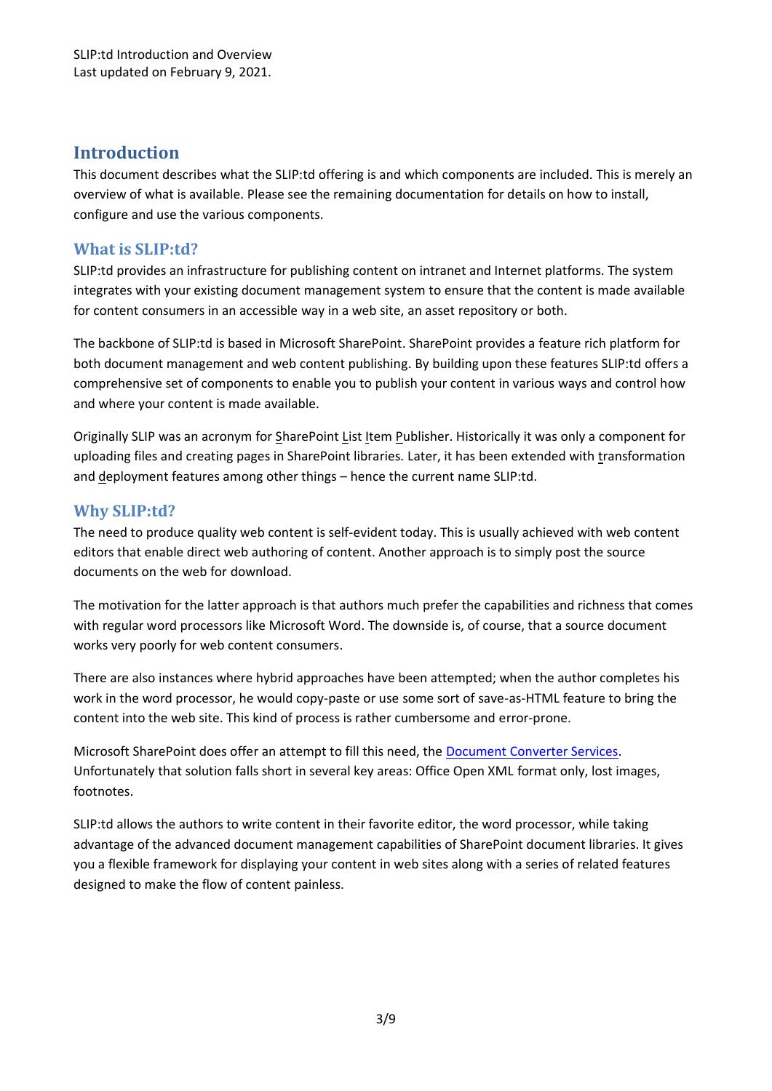# <span id="page-2-0"></span>**Introduction**

This document describes what the SLIP:td offering is and which components are included. This is merely an overview of what is available. Please see the remaining documentation for details on how to install, configure and use the various components.

### <span id="page-2-1"></span>**What is SLIP:td?**

SLIP:td provides an infrastructure for publishing content on intranet and Internet platforms. The system integrates with your existing document management system to ensure that the content is made available for content consumers in an accessible way in a web site, an asset repository or both.

The backbone of SLIP:td is based in Microsoft SharePoint. SharePoint provides a feature rich platform for both document management and web content publishing. By building upon these features SLIP:td offers a comprehensive set of components to enable you to publish your content in various ways and control how and where your content is made available.

Originally SLIP was an acronym for SharePoint List Item Publisher. Historically it was only a component for uploading files and creating pages in SharePoint libraries. Later, it has been extended with transformation and deployment features among other things – hence the current name SLIP:td.

## <span id="page-2-2"></span>**Why SLIP:td?**

The need to produce quality web content is self-evident today. This is usually achieved with web content editors that enable direct web authoring of content. Another approach is to simply post the source documents on the web for download.

The motivation for the latter approach is that authors much prefer the capabilities and richness that comes with regular word processors like Microsoft Word. The downside is, of course, that a source document works very poorly for web content consumers.

There are also instances where hybrid approaches have been attempted; when the author completes his work in the word processor, he would copy-paste or use some sort of save-as-HTML feature to bring the content into the web site. This kind of process is rather cumbersome and error-prone.

Microsoft SharePoint does offer an attempt to fill this need, the [Document Converter Services.](http://msdn.microsoft.com/en-us/library/aa979484.aspx) Unfortunately that solution falls short in several key areas: Office Open XML format only, lost images, footnotes.

SLIP:td allows the authors to write content in their favorite editor, the word processor, while taking advantage of the advanced document management capabilities of SharePoint document libraries. It gives you a flexible framework for displaying your content in web sites along with a series of related features designed to make the flow of content painless.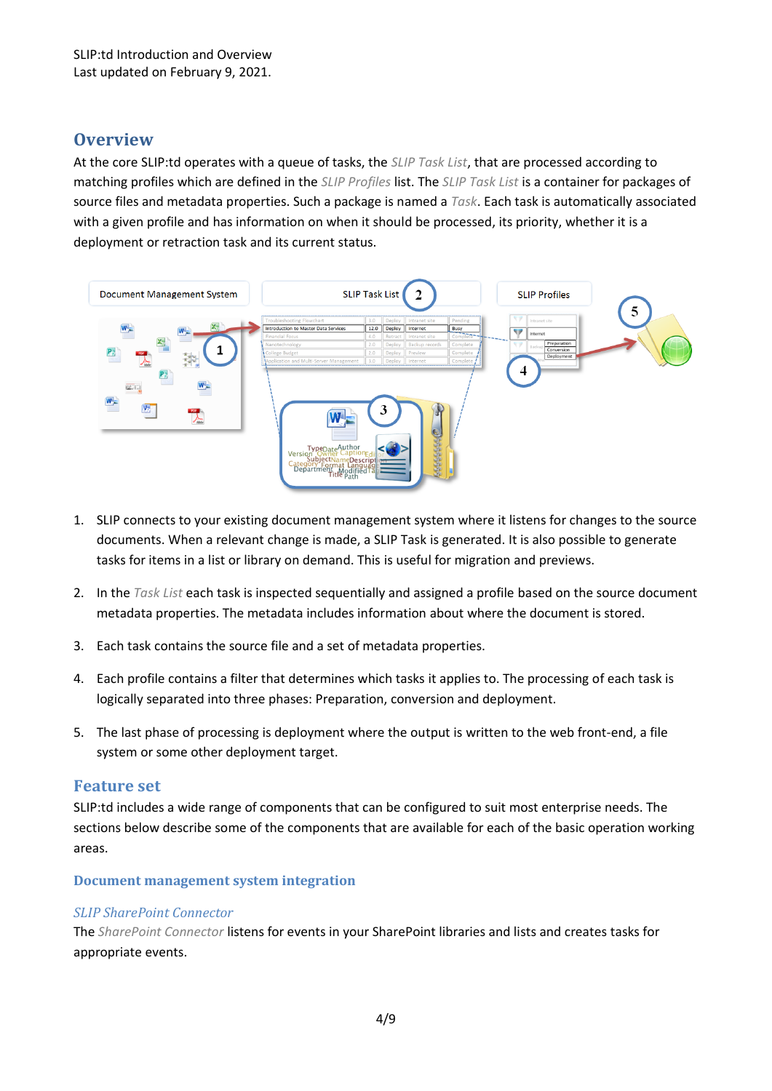# <span id="page-3-0"></span>**Overview**

At the core SLIP:td operates with a queue of tasks, the *SLIP Task List*, that are processed according to matching profiles which are defined in the *SLIP Profiles* list. The *SLIP Task List* is a container for packages of source files and metadata properties. Such a package is named a *Task*. Each task is automatically associated with a given profile and has information on when it should be processed, its priority, whether it is a deployment or retraction task and its current status.



- 1. SLIP connects to your existing document management system where it listens for changes to the source documents. When a relevant change is made, a SLIP Task is generated. It is also possible to generate tasks for items in a list or library on demand. This is useful for migration and previews.
- 2. In the *Task List* each task is inspected sequentially and assigned a profile based on the source document metadata properties. The metadata includes information about where the document is stored.
- 3. Each task contains the source file and a set of metadata properties.
- 4. Each profile contains a filter that determines which tasks it applies to. The processing of each task is logically separated into three phases: Preparation, conversion and deployment.
- 5. The last phase of processing is deployment where the output is written to the web front-end, a file system or some other deployment target.

#### <span id="page-3-1"></span>**Feature set**

SLIP:td includes a wide range of components that can be configured to suit most enterprise needs. The sections below describe some of the components that are available for each of the basic operation working areas.

#### <span id="page-3-2"></span>**Document management system integration**

#### *SLIP SharePoint Connector*

The *SharePoint Connector* listens for events in your SharePoint libraries and lists and creates tasks for appropriate events.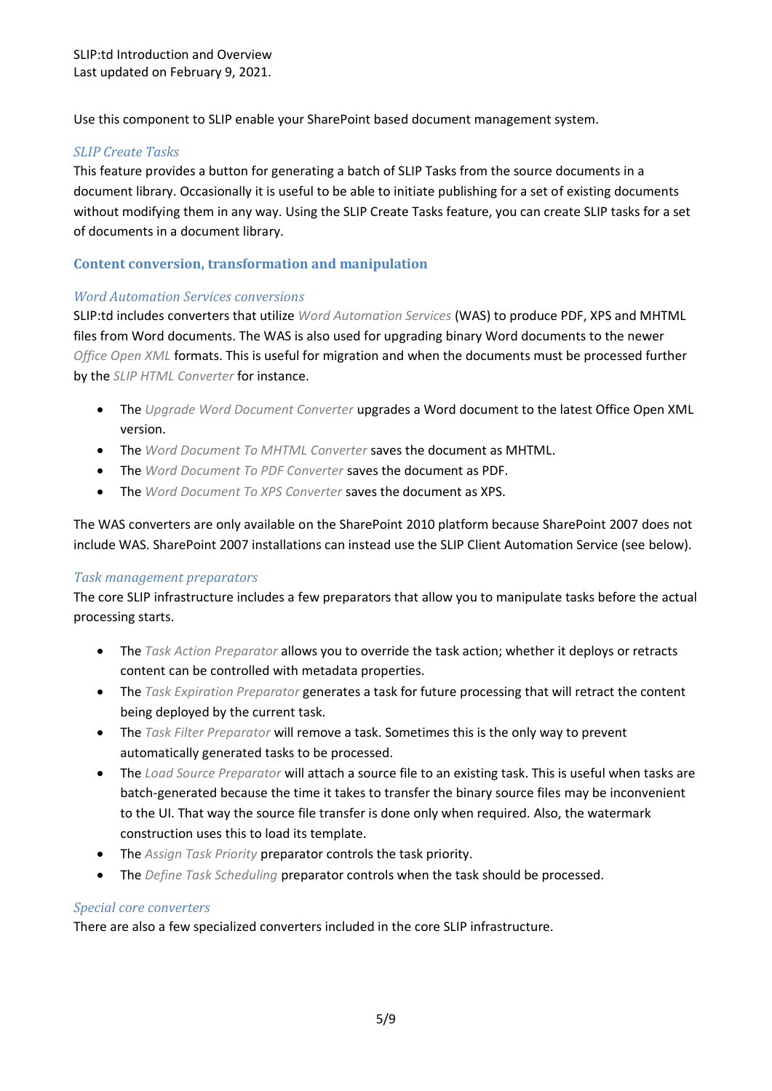Use this component to SLIP enable your SharePoint based document management system.

#### <span id="page-4-1"></span>*SLIP Create Tasks*

This feature provides a button for generating a batch of SLIP Tasks from the source documents in a document library. Occasionally it is useful to be able to initiate publishing for a set of existing documents without modifying them in any way. Using the SLIP Create Tasks feature, you can create SLIP tasks for a set of documents in a document library.

#### <span id="page-4-0"></span>**Content conversion, transformation and manipulation**

#### *Word Automation Services conversions*

SLIP:td includes converters that utilize *Word Automation Services* (WAS) to produce PDF, XPS and MHTML files from Word documents. The WAS is also used for upgrading binary Word documents to the newer *Office Open XML* formats. This is useful for migration and when the documents must be processed further by the *SLIP HTML Converter* for instance.

- The *Upgrade Word Document Converter* upgrades a Word document to the latest Office Open XML version.
- The *Word Document To MHTML Converter* saves the document as MHTML.
- The *Word Document To PDF Converter* saves the document as PDF.
- The *Word Document To XPS Converter* saves the document as XPS.

The WAS converters are only available on the SharePoint 2010 platform because SharePoint 2007 does not include WAS. SharePoint 2007 installations can instead use the SLIP Client Automation Service (see [below\)](#page-5-0).

#### *Task management preparators*

The core SLIP infrastructure includes a few preparators that allow you to manipulate tasks before the actual processing starts.

- The *Task Action Preparator* allows you to override the task action; whether it deploys or retracts content can be controlled with metadata properties.
- The *Task Expiration Preparator* generates a task for future processing that will retract the content being deployed by the current task.
- The *Task Filter Preparator* will remove a task. Sometimes this is the only way to prevent automatically generated tasks to be processed.
- The *Load Source Preparator* will attach a source file to an existing task. This is useful when tasks are batch-generated because the time it takes to transfer the binary source files may be inconvenient to the UI. That way the source file transfer is done only when required. Also, the watermark construction uses this to load its template.
- The *Assign Task Priority* preparator controls the task priority.
- The *Define Task Scheduling* preparator controls when the task should be processed.

#### *Special core converters*

There are also a few specialized converters included in the core SLIP infrastructure.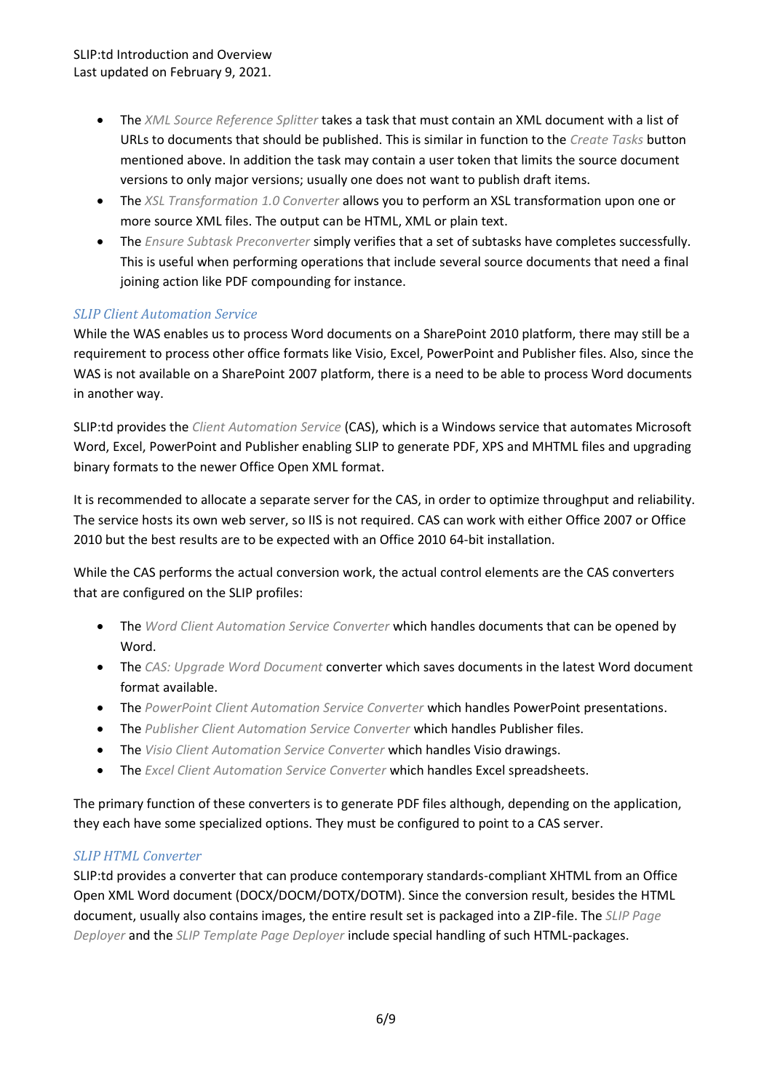SLIP:td Introduction and Overview Last updated on February 9, 2021.

- The *XML Source Reference Splitter* takes a task that must contain an XML document with a list of URLs to documents that should be published. This is similar in function to the *Create Tasks* button mentioned [above.](#page-4-1) In addition the task may contain a user token that limits the source document versions to only major versions; usually one does not want to publish draft items.
- The *XSL Transformation 1.0 Converter* allows you to perform an XSL transformation upon one or more source XML files. The output can be HTML, XML or plain text.
- The *Ensure Subtask Preconverter* simply verifies that a set of subtasks have completes successfully. This is useful when performing operations that include several source documents that need a final joining action like PDF compounding for instance.

#### <span id="page-5-0"></span>*SLIP Client Automation Service*

While the WAS enables us to process Word documents on a SharePoint 2010 platform, there may still be a requirement to process other office formats like Visio, Excel, PowerPoint and Publisher files. Also, since the WAS is not available on a SharePoint 2007 platform, there is a need to be able to process Word documents in another way.

SLIP:td provides the *Client Automation Service* (CAS), which is a Windows service that automates Microsoft Word, Excel, PowerPoint and Publisher enabling SLIP to generate PDF, XPS and MHTML files and upgrading binary formats to the newer Office Open XML format.

It is recommended to allocate a separate server for the CAS, in order to optimize throughput and reliability. The service hosts its own web server, so IIS is not required. CAS can work with either Office 2007 or Office 2010 but the best results are to be expected with an Office 2010 64-bit installation.

While the CAS performs the actual conversion work, the actual control elements are the CAS converters that are configured on the SLIP profiles:

- The *Word Client Automation Service Converter* which handles documents that can be opened by Word.
- The *CAS: Upgrade Word Document* converter which saves documents in the latest Word document format available.
- The *PowerPoint Client Automation Service Converter* which handles PowerPoint presentations.
- The *Publisher Client Automation Service Converter* which handles Publisher files.
- The *Visio Client Automation Service Converter* which handles Visio drawings.
- The *Excel Client Automation Service Converter* which handles Excel spreadsheets.

The primary function of these converters is to generate PDF files although, depending on the application, they each have some specialized options. They must be configured to point to a CAS server.

#### *SLIP HTML Converter*

SLIP:td provides a converter that can produce contemporary standards-compliant XHTML from an Office Open XML Word document (DOCX/DOCM/DOTX/DOTM). Since the conversion result, besides the HTML document, usually also contains images, the entire result set is packaged into a ZIP-file. The *SLIP Page Deployer* and the *SLIP Template Page Deployer* include special handling of such HTML-packages.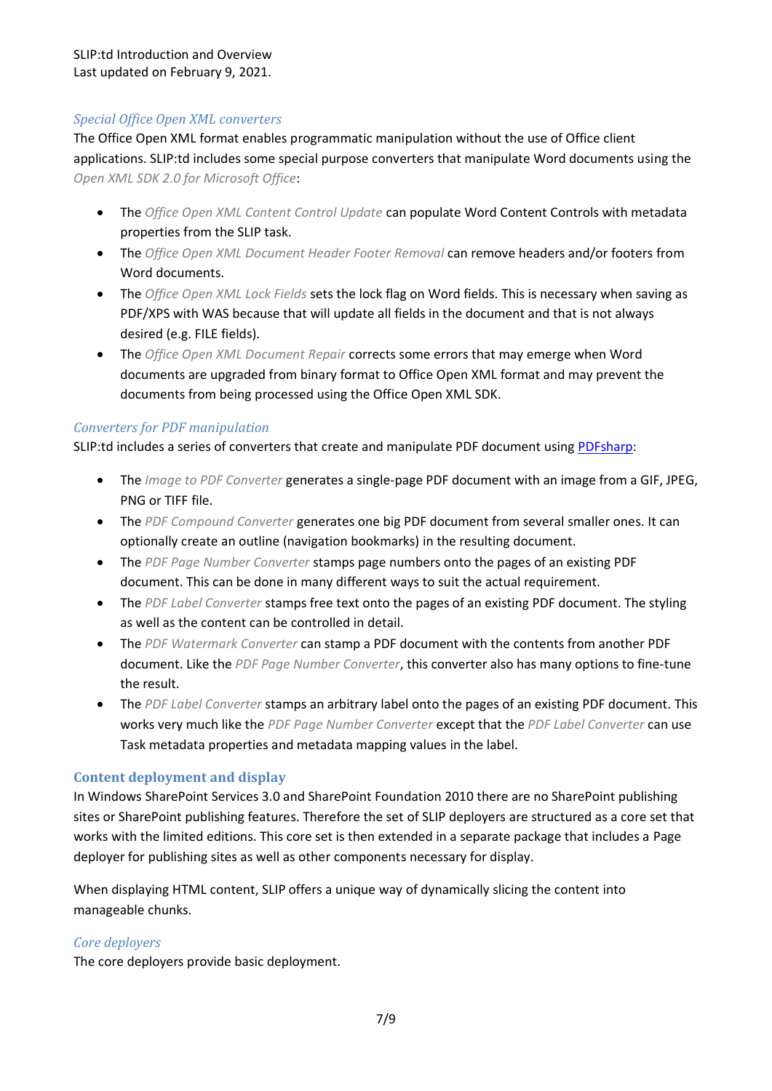#### *Special Office Open XML converters*

The Office Open XML format enables programmatic manipulation without the use of Office client applications. SLIP:td includes some special purpose converters that manipulate Word documents using the *Open XML SDK 2.0 for Microsoft Office*:

- The *Office Open XML Content Control Update* can populate Word Content Controls with metadata properties from the SLIP task.
- The *Office Open XML Document Header Footer Removal* can remove headers and/or footers from Word documents.
- The *Office Open XML Lock Fields* sets the lock flag on Word fields. This is necessary when saving as PDF/XPS with WAS because that will update all fields in the document and that is not always desired (e.g. FILE fields).
- The *Office Open XML Document Repair* corrects some errors that may emerge when Word documents are upgraded from binary format to Office Open XML format and may prevent the documents from being processed using the Office Open XML SDK.

#### *Converters for PDF manipulation*

SLIP:td includes a series of converters that create and manipulate PDF document using [PDFsharp:](http://www.pdfsharp.net/)

- The *Image to PDF Converter* generates a single-page PDF document with an image from a GIF, JPEG, PNG or TIFF file.
- The *PDF Compound Converter* generates one big PDF document from several smaller ones. It can optionally create an outline (navigation bookmarks) in the resulting document.
- The *PDF Page Number Converter* stamps page numbers onto the pages of an existing PDF document. This can be done in many different ways to suit the actual requirement.
- The *PDF Label Converter* stamps free text onto the pages of an existing PDF document. The styling as well as the content can be controlled in detail.
- The *PDF Watermark Converter* can stamp a PDF document with the contents from another PDF document. Like the *PDF Page Number Converter*, this converter also has many options to fine-tune the result.
- The *PDF Label Converter* stamps an arbitrary label onto the pages of an existing PDF document. This works very much like the *PDF Page Number Converter* except that the *PDF Label Converter* can use Task metadata properties and metadata mapping values in the label.

#### <span id="page-6-0"></span>**Content deployment and display**

In Windows SharePoint Services 3.0 and SharePoint Foundation 2010 there are no SharePoint publishing sites or SharePoint publishing features. Therefore the set of SLIP deployers are structured as a core set that works with the limited editions. This core set is then extended in a separate package that includes a Page deployer for publishing sites as well as other components necessary for display.

When displaying HTML content, SLIP offers a unique way of dynamically slicing the content into manageable chunks.

#### *Core deployers*

The core deployers provide basic deployment.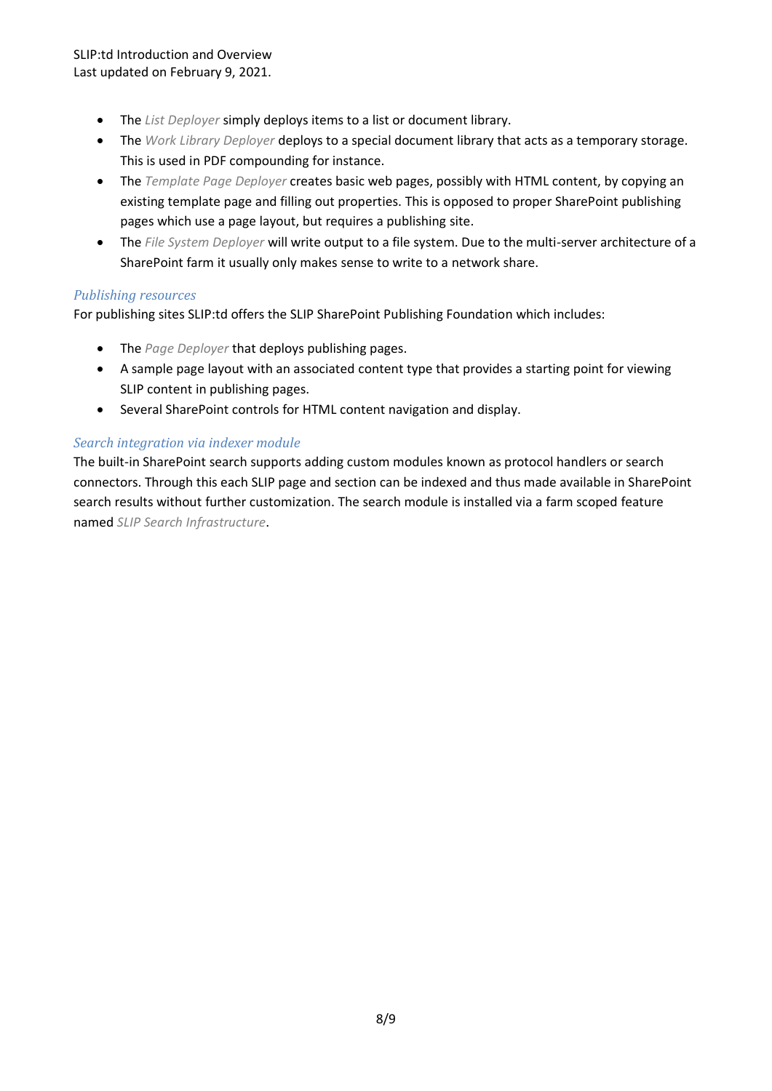- The *List Deployer* simply deploys items to a list or document library.
- The *Work Library Deployer* deploys to a special document library that acts as a temporary storage. This is used in PDF compounding for instance.
- The *Template Page Deployer* creates basic web pages, possibly with HTML content, by copying an existing template page and filling out properties. This is opposed to proper SharePoint publishing pages which use a page layout, but requires a publishing site.
- The *File System Deployer* will write output to a file system. Due to the multi-server architecture of a SharePoint farm it usually only makes sense to write to a network share.

#### *Publishing resources*

For publishing sites SLIP:td offers the SLIP SharePoint Publishing Foundation which includes:

- The *Page Deployer* that deploys publishing pages.
- A sample page layout with an associated content type that provides a starting point for viewing SLIP content in publishing pages.
- Several SharePoint controls for HTML content navigation and display.

#### *Search integration via indexer module*

The built-in SharePoint search supports adding custom modules known as protocol handlers or search connectors. Through this each SLIP page and section can be indexed and thus made available in SharePoint search results without further customization. The search module is installed via a farm scoped feature named *SLIP Search Infrastructure*.